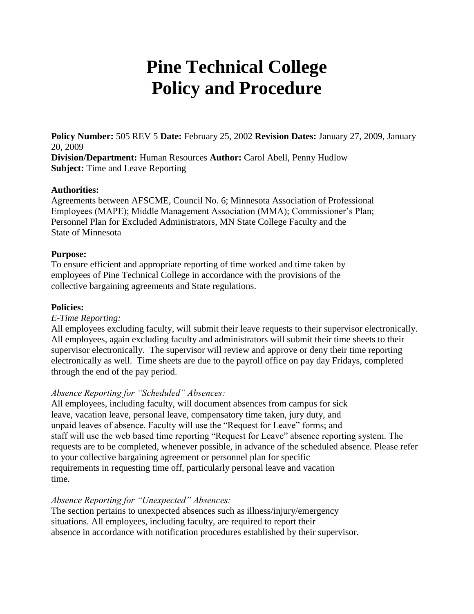# **Pine Technical College Policy and Procedure**

**Policy Number:** 505 REV 5 **Date:** February 25, 2002 **Revision Dates:** January 27, 2009, January 20, 2009 **Division/Department:** Human Resources **Author:** Carol Abell, Penny Hudlow **Subject:** Time and Leave Reporting

#### **Authorities:**

Agreements between AFSCME, Council No. 6; Minnesota Association of Professional Employees (MAPE); Middle Management Association (MMA); Commissioner's Plan; Personnel Plan for Excluded Administrators, MN State College Faculty and the State of Minnesota

#### **Purpose:**

To ensure efficient and appropriate reporting of time worked and time taken by employees of Pine Technical College in accordance with the provisions of the collective bargaining agreements and State regulations.

#### **Policies:**

#### *E-Time Reporting:*

All employees excluding faculty, will submit their leave requests to their supervisor electronically. All employees, again excluding faculty and administrators will submit their time sheets to their supervisor electronically. The supervisor will review and approve or deny their time reporting electronically as well. Time sheets are due to the payroll office on pay day Fridays, completed through the end of the pay period.

## *Absence Reporting for "Scheduled" Absences:*

All employees, including faculty, will document absences from campus for sick leave, vacation leave, personal leave, compensatory time taken, jury duty, and unpaid leaves of absence. Faculty will use the "Request for Leave" forms; and staff will use the web based time reporting "Request for Leave" absence reporting system. The requests are to be completed, whenever possible, in advance of the scheduled absence. Please refer to your collective bargaining agreement or personnel plan for specific requirements in requesting time off, particularly personal leave and vacation time.

## *Absence Reporting for "Unexpected" Absences:*

The section pertains to unexpected absences such as illness/injury/emergency situations. All employees, including faculty, are required to report their absence in accordance with notification procedures established by their supervisor.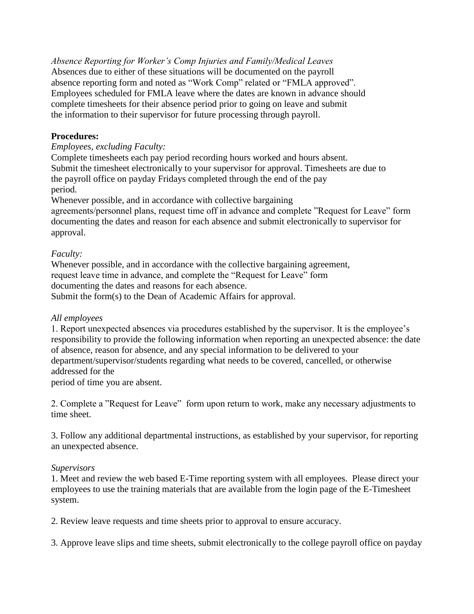*Absence Reporting for Worker's Comp Injuries and Family/Medical Leaves* Absences due to either of these situations will be documented on the payroll absence reporting form and noted as "Work Comp" related or "FMLA approved". Employees scheduled for FMLA leave where the dates are known in advance should complete timesheets for their absence period prior to going on leave and submit the information to their supervisor for future processing through payroll.

## **Procedures:**

*Employees, excluding Faculty:*

Complete timesheets each pay period recording hours worked and hours absent. Submit the timesheet electronically to your supervisor for approval. Timesheets are due to the payroll office on payday Fridays completed through the end of the pay period.

Whenever possible, and in accordance with collective bargaining agreements/personnel plans, request time off in advance and complete "Request for Leave" form documenting the dates and reason for each absence and submit electronically to supervisor for approval.

# *Faculty:*

Whenever possible, and in accordance with the collective bargaining agreement, request leave time in advance, and complete the "Request for Leave" form documenting the dates and reasons for each absence. Submit the form(s) to the Dean of Academic Affairs for approval.

## *All employees*

1. Report unexpected absences via procedures established by the supervisor. It is the employee's responsibility to provide the following information when reporting an unexpected absence: the date of absence, reason for absence, and any special information to be delivered to your department/supervisor/students regarding what needs to be covered, cancelled, or otherwise addressed for the period of time you are absent.

2. Complete a "Request for Leave" form upon return to work, make any necessary adjustments to time sheet.

3. Follow any additional departmental instructions, as established by your supervisor, for reporting an unexpected absence.

## *Supervisors*

1. Meet and review the web based E-Time reporting system with all employees. Please direct your employees to use the training materials that are available from the login page of the E-Timesheet system.

2. Review leave requests and time sheets prior to approval to ensure accuracy.

3. Approve leave slips and time sheets, submit electronically to the college payroll office on payday